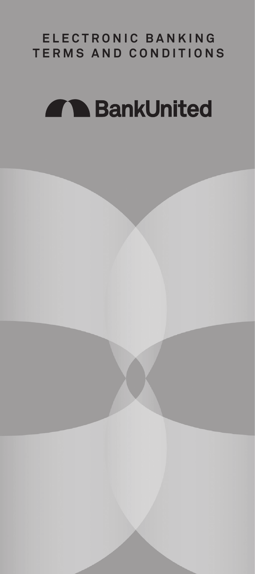# **ELECTRONIC BANKING TERMS AND CONDITIONS**

# **AlbankUnited**

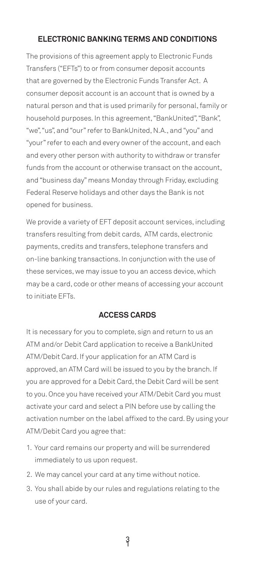# **ELECTRONIC BANKING TERMS AND CONDITIONS**

 household purposes. In this agreement, "BankUnited", "Bank", The provisions of this agreement apply to Electronic Funds Transfers ("EFTs") to or from consumer deposit accounts that are governed by the Electronic Funds Transfer Act. A consumer deposit account is an account that is owned by a natural person and that is used primarily for personal, family or "we", "us", and "our" refer to BankUnited, N.A., and "you" and "your" refer to each and every owner of the account, and each and every other person with authority to withdraw or transfer funds from the account or otherwise transact on the account, and "business day" means Monday through Friday, excluding Federal Reserve holidays and other days the Bank is not opened for business.

We provide a variety of EFT deposit account services, including transfers resulting from debit cards, ATM cards, electronic payments, credits and transfers, telephone transfers and on-line banking transactions. In conjunction with the use of these services, we may issue to you an access device, which may be a card, code or other means of accessing your account to initiate EFTs.

# **ACCESS CARDS**

It is necessary for you to complete, sign and return to us an ATM and/or Debit Card application to receive a BankUnited ATM/Debit Card. If your application for an ATM Card is approved, an ATM Card will be issued to you by the branch. If you are approved for a Debit Card, the Debit Card will be sent to you. Once you have received your ATM/Debit Card you must activate your card and select a PIN before use by calling the activation number on the label affixed to the card. By using your ATM/Debit Card you agree that:

- 1. Your card remains our property and will be surrendered immediately to us upon request.
- 2. We may cancel your card at any time without notice.
- 3. You shall abide by our rules and regulations relating to the use of your card.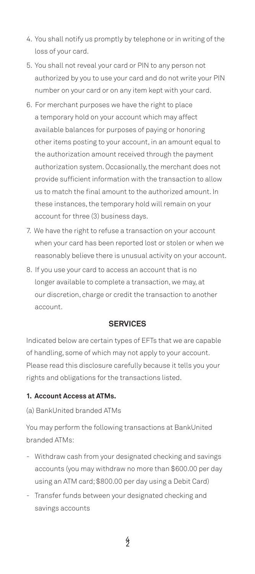- 4. You shall notify us promptly by telephone or in writing of the loss of your card.
- 5. You shall not reveal your card or PIN to any person not authorized by you to use your card and do not write your PIN number on your card or on any item kept with your card.
- 6. For merchant purposes we have the right to place a temporary hold on your account which may affect available balances for purposes of paying or honoring other items posting to your account, in an amount equal to the authorization amount received through the payment authorization system. Occasionally, the merchant does not provide sufficient information with the transaction to allow us to match the final amount to the authorized amount. In these instances, the temporary hold will remain on your account for three (3) business days.
- 7. We have the right to refuse a transaction on your account when your card has been reported lost or stolen or when we reasonably believe there is unusual activity on your account.
- 8. If you use your card to access an account that is no longer available to complete a transaction, we may, at our discretion, charge or credit the transaction to another account.

# **SERVICES**

Indicated below are certain types of EFTs that we are capable of handling, some of which may not apply to your account. Please read this disclosure carefully because it tells you your rights and obligations for the transactions listed.

# **1. Account Access at ATMs.**

# (a) BankUnited branded ATMs

You may perform the following transactions at BankUnited branded ATMs:

- Withdraw cash from your designated checking and savings accounts (you may withdraw no more than \$600.00 per day using an ATM card; \$800.00 per day using a Debit Card)
- Transfer funds between your designated checking and savings accounts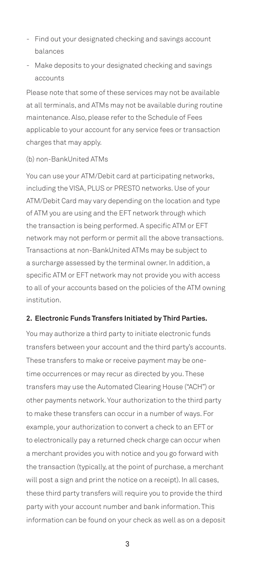- Find out your designated checking and savings account balances
- Make deposits to your designated checking and savings accounts

Please note that some of these services may not be available at all terminals, and ATMs may not be available during routine maintenance. Also, please refer to the Schedule of Fees applicable to your account for any service fees or transaction charges that may apply.

#### (b) non-BankUnited ATMs

You can use your ATM/Debit card at participating networks, including the VISA, PLUS or PRESTO networks. Use of your ATM/Debit Card may vary depending on the location and type of ATM you are using and the EFT network through which the transaction is being performed. A specific ATM or EFT network may not perform or permit all the above transactions. Transactions at non-BankUnited ATMs may be subject to a surcharge assessed by the terminal owner. In addition, a specific ATM or EFT network may not provide you with access to all of your accounts based on the policies of the ATM owning institution.

#### **2. Electronic Funds Transfers Initiated by Third Parties.**

You may authorize a third party to initiate electronic funds transfers between your account and the third party's accounts. These transfers to make or receive payment may be onetime occurrences or may recur as directed by you. These transfers may use the Automated Clearing House ("ACH") or other payments network. Your authorization to the third party to make these transfers can occur in a number of ways. For example, your authorization to convert a check to an EFT or to electronically pay a returned check charge can occur when a merchant provides you with notice and you go forward with the transaction (typically, at the point of purchase, a merchant will post a sign and print the notice on a receipt). In all cases, these third party transfers will require you to provide the third party with your account number and bank information. This information can be found on your check as well as on a deposit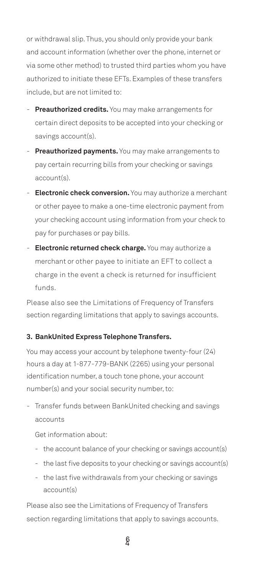or withdrawal slip. Thus, you should only provide your bank and account information (whether over the phone, internet or via some other method) to trusted third parties whom you have authorized to initiate these EFTs. Examples of these transfers include, but are not limited to:

- **Preauthorized credits.** You may make arrangements for certain direct deposits to be accepted into your checking or savings account(s).
- **Preauthorized payments.** You may make arrangements to pay certain recurring bills from your checking or savings account(s).
- **Electronic check conversion.** You may authorize a merchant or other payee to make a one-time electronic payment from your checking account using information from your check to pay for purchases or pay bills.
- merchant or other payee to initiate an EFT to collect a - **Electronic returned check charge.** You may authorize a charge in the event a check is returned for insufficient funds.

 Please also see the Limitations of Frequency of Transfers section regarding limitations that apply to savings accounts.

# **3. BankUnited Express Telephone Transfers.**

You may access your account by telephone twenty-four (24) hours a day at 1-877-779-BANK (2265) using your personal identification number, a touch tone phone, your account number(s) and your social security number, to:

- Transfer funds between BankUnited checking and savings accounts

Get information about:

- the account balance of your checking or savings account(s)
- the last five deposits to your checking or savings account(s)
- the last five withdrawals from your checking or savings account(s)

Please also see the Limitations of Frequency of Transfers section regarding limitations that apply to savings accounts.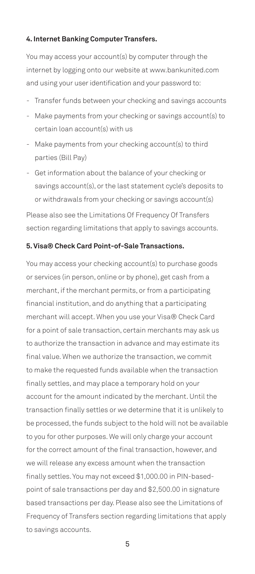#### **4. Internet Banking Computer Transfers.**

 and using your user identification and your password to: You may access your account(s) by computer through the internet by logging onto our website at<www.bankunited.com>

- Transfer funds between your checking and savings accounts
- Make payments from your checking or savings account(s) to certain loan account(s) with us
- Make payments from your checking account(s) to third parties (Bill Pay)
- Get information about the balance of your checking or savings account(s), or the last statement cycle's deposits to or withdrawals from your checking or savings account(s)

Please also see the Limitations Of Frequency Of Transfers section regarding limitations that apply to savings accounts.

# **5. Visa® Check Card Point-of-Sale Transactions.**

You may access your checking account(s) to purchase goods or services (in person, online or by phone), get cash from a merchant, if the merchant permits, or from a participating financial institution, and do anything that a participating merchant will accept. When you use your Visa® Check Card for a point of sale transaction, certain merchants may ask us to authorize the transaction in advance and may estimate its final value. When we authorize the transaction, we commit to make the requested funds available when the transaction finally settles, and may place a temporary hold on your account for the amount indicated by the merchant. Until the transaction finally settles or we determine that it is unlikely to be processed, the funds subject to the hold will not be available to you for other purposes. We will only charge your account for the correct amount of the final transaction, however, and we will release any excess amount when the transaction finally settles. You may not exceed \$[1,000.00](https://1,000.00) in PIN-basedpoint of sale transactions per day and \$[2,500.00](https://2,500.00) in signature based transactions per day. Please also see the Limitations of Frequency of Transfers section regarding limitations that apply to savings accounts.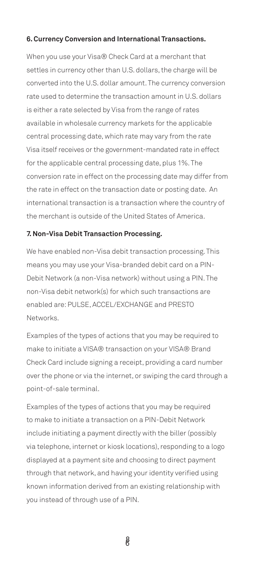#### **6. Currency Conversion and International Transactions.**

When you use your Visa® Check Card at a merchant that settles in currency other than U.S. dollars, the charge will be converted into the U.S. dollar amount. The currency conversion rate used to determine the transaction amount in U.S. dollars is either a rate selected by Visa from the range of rates available in wholesale currency markets for the applicable central processing date, which rate may vary from the rate Visa itself receives or the government-mandated rate in effect for the applicable central processing date, plus 1%. The conversion rate in effect on the processing date may differ from the rate in effect on the transaction date or posting date. An international transaction is a transaction where the country of the merchant is outside of the United States of America.

#### **7. Non-Visa Debit Transaction Processing.**

 Debit Network (a non-Visa network) without using a PIN. The We have enabled non-Visa debit transaction processing. This means you may use your Visa-branded debit card on a PINnon-Visa debit network(s) for which such transactions are enabled are: PULSE, ACCEL/EXCHANGE and PRESTO Networks.

Examples of the types of actions that you may be required to make to initiate a VISA® transaction on your VISA® Brand Check Card include signing a receipt, providing a card number over the phone or via the internet, or swiping the card through a point-of-sale terminal.

Examples of the types of actions that you may be required to make to initiate a transaction on a PIN-Debit Network include initiating a payment directly with the biller (possibly via telephone, internet or kiosk locations), responding to a logo displayed at a payment site and choosing to direct payment through that network, and having your identity verified using known information derived from an existing relationship with you instead of through use of a PIN.

8 6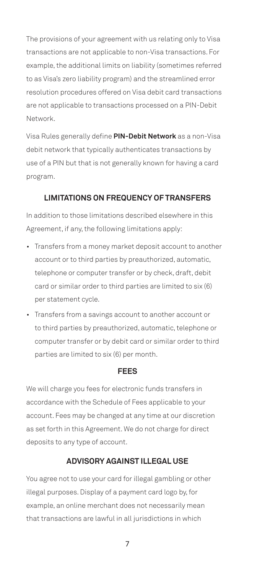The provisions of your agreement with us relating only to Visa transactions are not applicable to non-Visa transactions. For example, the additional limits on liability (sometimes referred to as Visa's zero liability program) and the streamlined error resolution procedures offered on Visa debit card transactions are not applicable to transactions processed on a PIN-Debit Network.

Visa Rules generally define **PIN-Debit Network** as a non-Visa debit network that typically authenticates transactions by use of a PIN but that is not generally known for having a card program.

# **LIMITATIONS ON FREQUENCY OF TRANSFERS**

In addition to those limitations described elsewhere in this Agreement, if any, the following limitations apply:

- Transfers from a money market deposit account to another account or to third parties by preauthorized, automatic, telephone or computer transfer or by check, draft, debit card or similar order to third parties are limited to six (6) per statement cycle.
- Transfers from a savings account to another account or to third parties by preauthorized, automatic, telephone or computer transfer or by debit card or similar order to third parties are limited to six (6) per month.

# **FEES**

We will charge you fees for electronic funds transfers in accordance with the Schedule of Fees applicable to your account. Fees may be changed at any time at our discretion as set forth in this Agreement. We do not charge for direct deposits to any type of account.

# **ADVISORY AGAINST ILLEGAL USE**

You agree not to use your card for illegal gambling or other illegal purposes. Display of a payment card logo by, for example, an online merchant does not necessarily mean that transactions are lawful in all jurisdictions in which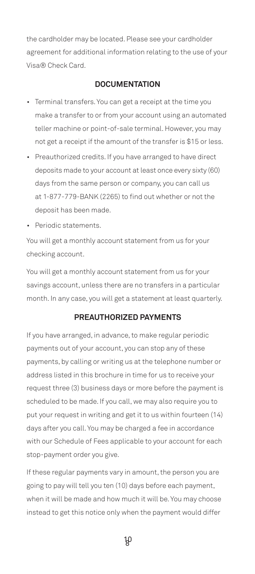the cardholder may be located. Please see your cardholder agreement for additional information relating to the use of your Visa® Check Card.

# **DOCUMENTATION**

- Terminal transfers. You can get a receipt at the time you make a transfer to or from your account using an automated teller machine or point-of-sale terminal. However, you may not get a receipt if the amount of the transfer is \$15 or less.
- Preauthorized credits. If you have arranged to have direct deposits made to your account at least once every sixty (60) days from the same person or company, you can call us at 1-877-779-BANK (2265) to find out whether or not the deposit has been made.
- Periodic statements.

You will get a monthly account statement from us for your checking account.

You will get a monthly account statement from us for your savings account, unless there are no transfers in a particular month. In any case, you will get a statement at least quarterly.

# **PREAUTHORIZED PAYMENTS**

If you have arranged, in advance, to make regular periodic payments out of your account, you can stop any of these payments, by calling or writing us at the telephone number or address listed in this brochure in time for us to receive your request three (3) business days or more before the payment is scheduled to be made. If you call, we may also require you to put your request in writing and get it to us within fourteen (14) days after you call. You may be charged a fee in accordance with our Schedule of Fees applicable to your account for each stop-payment order you give.

If these regular payments vary in amount, the person you are going to pay will tell you ten (10) days before each payment, when it will be made and how much it will be. You may choose instead to get this notice only when the payment would differ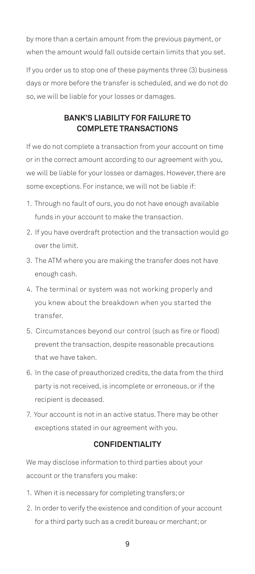by more than a certain amount from the previous payment, or when the amount would fall outside certain limits that you set.

If you order us to stop one of these payments three (3) business days or more before the transfer is scheduled, and we do not do so, we will be liable for your losses or damages.

# **BANK'S LIABILITY FOR FAILURE TO COMPLETE TRANSACTIONS**

If we do not complete a transaction from your account on time or in the correct amount according to our agreement with you, we will be liable for your losses or damages. However, there are some exceptions. For instance, we will not be liable if:

- 1. Through no fault of ours, you do not have enough available funds in your account to make the transaction.
- 2. If you have overdraft protection and the transaction would go over the limit.
- 3. The ATM where you are making the transfer does not have enough cash.
- 4. The terminal or system was not working properly and you knew about the breakdown when you started the transfer.
- 5. Circumstances beyond our control (such as fire or flood) prevent the transaction, despite reasonable precautions that we have taken.
- 6. In the case of preauthorized credits, the data from the third party is not received, is incomplete or erroneous, or if the recipient is deceased.
- 7. Your account is not in an active status. There may be other exceptions stated in our agreement with you.

# **CONFIDENTIALITY**

We may disclose information to third parties about your account or the transfers you make:

- 1. When it is necessary for completing transfers; or
- 2. In order to verify the existence and condition of your account for a third party such as a credit bureau or merchant; or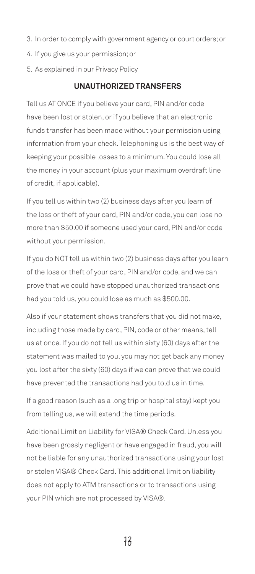- 3. In order to comply with government agency or court orders; or
- 4. If you give us your permission; or
- 5. As explained in our Privacy Policy

# **UNAUTHORIZED TRANSFERS**

Tell us AT ONCE if you believe your card, PIN and/or code have been lost or stolen, or if you believe that an electronic funds transfer has been made without your permission using information from your check. Telephoning us is the best way of keeping your possible losses to a minimum. You could lose all the money in your account (plus your maximum overdraft line of credit, if applicable).

If you tell us within two (2) business days after you learn of the loss or theft of your card, PIN and/or code, you can lose no more than \$50.00 if someone used your card, PIN and/or code without your permission.

If you do NOT tell us within two (2) business days after you learn of the loss or theft of your card, PIN and/or code, and we can prove that we could have stopped unauthorized transactions had you told us, you could lose as much as \$500.00.

Also if your statement shows transfers that you did not make, including those made by card, PIN, code or other means, tell us at once. If you do not tell us within sixty (60) days after the statement was mailed to you, you may not get back any money you lost after the sixty (60) days if we can prove that we could have prevented the transactions had you told us in time.

If a good reason (such as a long trip or hospital stay) kept you from telling us, we will extend the time periods.

Additional Limit on Liability for VISA® Check Card. Unless you have been grossly negligent or have engaged in fraud, you will not be liable for any unauthorized transactions using your lost or stolen VISA® Check Card. This additional limit on liability does not apply to ATM transactions or to transactions using your PIN which are not processed by VISA®.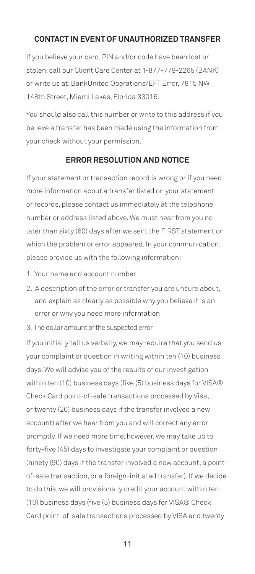# **CONTACT IN EVENT OF UNAUTHORIZED TRANSFER**

If you believe your card, PIN and/or code have been lost or stolen, call our Client Care Center at 1-877-779-2265 (BANK) or write us at: BankUnited Operations/EFT Error, 7815 NW 148th Street, Miami Lakes, Florida 33016.

You should also call this number or write to this address if you believe a transfer has been made using the information from your check without your permission.

# **ERROR RESOLUTION AND NOTICE**

If your statement or transaction record is wrong or if you need more information about a transfer listed on your statement or records, please contact us immediately at the telephone number or address listed above. We must hear from you no later than sixty (60) days after we sent the FIRST statement on which the problem or error appeared. In your communication, please provide us with the following information:

- 1. Your name and account number
- 2. A description of the error or transfer you are unsure about, and explain as clearly as possible why you believe it is an error or why you need more information
- 3. The dollar amount of the suspected error

If you initially tell us verbally, we may require that you send us your complaint or question in writing within ten (10) business days. We will advise you of the results of our investigation within ten (10) business days (five (5) business days for VISA® Check Card point-of-sale transactions processed by Visa, or twenty (20) business days if the transfer involved a new account) after we hear from you and will correct any error promptly. If we need more time, however, we may take up to forty-five (45) days to investigate your complaint or question (ninety (90) days if the transfer involved a new account, a pointof-sale transaction, or a foreign-initiated transfer). If we decide to do this, we will provisionally credit your account within ten (10) business days (five (5) business days for VISA® Check Card point-of-sale transactions processed by VISA and twenty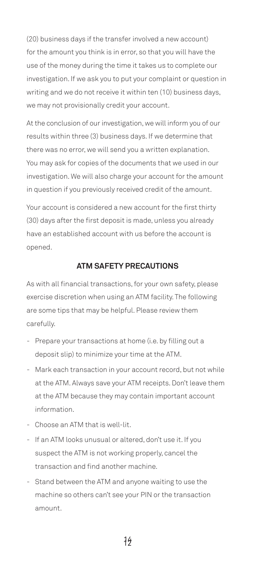(20) business days if the transfer involved a new account) for the amount you think is in error, so that you will have the use of the money during the time it takes us to complete our investigation. If we ask you to put your complaint or question in writing and we do not receive it within ten (10) business days, we may not provisionally credit your account.

At the conclusion of our investigation, we will inform you of our results within three (3) business days. If we determine that there was no error, we will send you a written explanation. You may ask for copies of the documents that we used in our investigation. We will also charge your account for the amount in question if you previously received credit of the amount.

Your account is considered a new account for the first thirty (30) days after the first deposit is made, unless you already have an established account with us before the account is opened.

# **ATM SAFETY PRECAUTIONS**

As with all financial transactions, for your own safety, please exercise discretion when using an ATM facility. The following are some tips that may be helpful. Please review them carefully.

- Prepare your transactions at home (i.e. by filling out a deposit slip) to minimize your time at the ATM.
- Mark each transaction in your account record, but not while at the ATM. Always save your ATM receipts. Don't leave them at the ATM because they may contain important account information.
- Choose an ATM that is well-lit.
- If an ATM looks unusual or altered, don't use it. If you suspect the ATM is not working properly, cancel the transaction and find another machine.
- Stand between the ATM and anyone waiting to use the machine so others can't see your PIN or the transaction amount.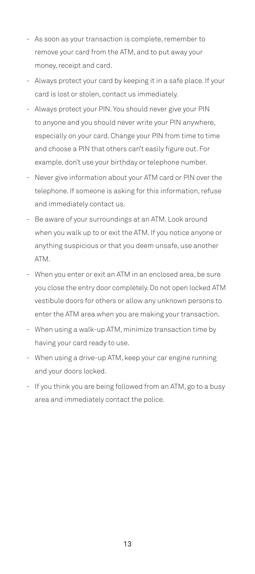- As soon as your transaction is complete, remember to remove your card from the ATM, and to put away your money, receipt and card.
- Always protect your card by keeping it in a safe place. If your card is lost or stolen, contact us immediately.
- Always protect your PIN. You should never give your PIN to anyone and you should never write your PIN anywhere, especially on your card. Change your PIN from time to time and choose a PIN that others can't easily figure out. For example, don't use your birthday or telephone number.
- Never give information about your ATM card or PIN over the telephone. If someone is asking for this information, refuse and immediately contact us.
- Be aware of your surroundings at an ATM. Look around when you walk up to or exit the ATM. If you notice anyone or anything suspicious or that you deem unsafe, use another ATM.
- When you enter or exit an ATM in an enclosed area, be sure you close the entry door completely. Do not open locked ATM vestibule doors for others or allow any unknown persons to enter the ATM area when you are making your transaction.
- When using a walk-up ATM, minimize transaction time by having your card ready to use.
- When using a drive-up ATM, keep your car engine running and your doors locked.
- If you think you are being followed from an ATM, go to a busy area and immediately contact the police.